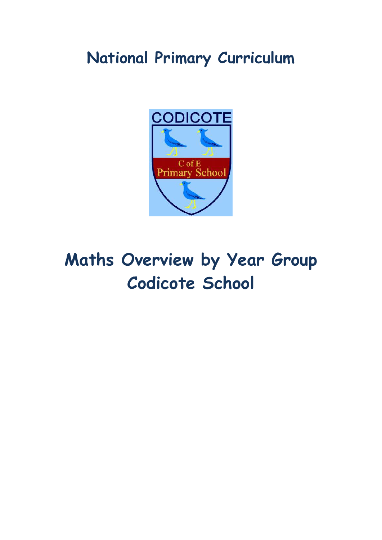## **National Primary Curriculum**



# **Maths Overview by Year Group Codicote School**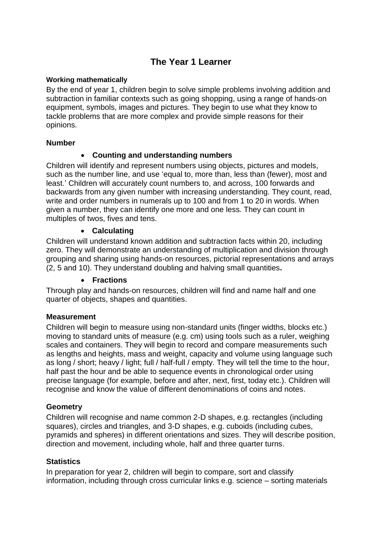## **The Year 1 Learner**

#### **Working mathematically**

By the end of year 1, children begin to solve simple problems involving addition and subtraction in familiar contexts such as going shopping, using a range of hands-on equipment, symbols, images and pictures. They begin to use what they know to tackle problems that are more complex and provide simple reasons for their opinions.

#### **Number**

#### **Counting and understanding numbers**

Children will identify and represent numbers using objects, pictures and models, such as the number line, and use 'equal to, more than, less than (fewer), most and least.' Children will accurately count numbers to, and across, 100 forwards and backwards from any given number with increasing understanding. They count, read, write and order numbers in numerals up to 100 and from 1 to 20 in words. When given a number, they can identify one more and one less. They can count in multiples of twos, fives and tens.

#### **Calculating**

Children will understand known addition and subtraction facts within 20, including zero. They will demonstrate an understanding of multiplication and division through grouping and sharing using hands-on resources, pictorial representations and arrays (2, 5 and 10). They understand doubling and halving small quantities**.**

#### **Fractions**

Through play and hands-on resources, children will find and name half and one quarter of objects, shapes and quantities.

#### **Measurement**

Children will begin to measure using non-standard units (finger widths, blocks etc.) moving to standard units of measure (e.g. cm) using tools such as a ruler, weighing scales and containers. They will begin to record and compare measurements such as lengths and heights, mass and weight, capacity and volume using language such as long / short; heavy / light; full / half-full / empty. They will tell the time to the hour, half past the hour and be able to sequence events in chronological order using precise language (for example, before and after, next, first, today etc.). Children will recognise and know the value of different denominations of coins and notes.

#### **Geometry**

Children will recognise and name common 2-D shapes, e.g. rectangles (including squares), circles and triangles, and 3-D shapes, e.g. cuboids (including cubes, pyramids and spheres) in different orientations and sizes. They will describe position, direction and movement, including whole, half and three quarter turns.

#### **Statistics**

In preparation for year 2, children will begin to compare, sort and classify information, including through cross curricular links e.g. science – sorting materials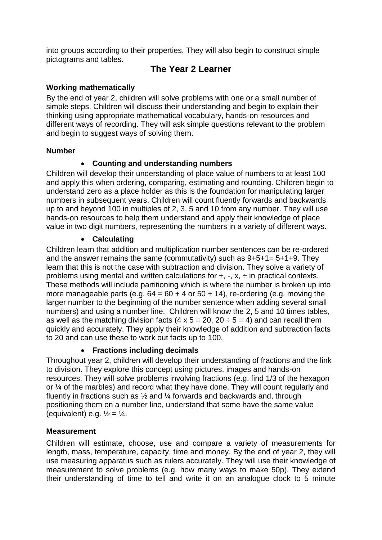into groups according to their properties. They will also begin to construct simple pictograms and tables.

## **The Year 2 Learner**

## **Working mathematically**

By the end of year 2, children will solve problems with one or a small number of simple steps. Children will discuss their understanding and begin to explain their thinking using appropriate mathematical vocabulary, hands-on resources and different ways of recording. They will ask simple questions relevant to the problem and begin to suggest ways of solving them.

#### **Number**

## **Counting and understanding numbers**

Children will develop their understanding of place value of numbers to at least 100 and apply this when ordering, comparing, estimating and rounding. Children begin to understand zero as a place holder as this is the foundation for manipulating larger numbers in subsequent years. Children will count fluently forwards and backwards up to and beyond 100 in multiples of 2, 3, 5 and 10 from any number. They will use hands-on resources to help them understand and apply their knowledge of place value in two digit numbers, representing the numbers in a variety of different ways.

## **Calculating**

Children learn that addition and multiplication number sentences can be re-ordered and the answer remains the same (commutativity) such as 9+5+1= 5+1+9. They learn that this is not the case with subtraction and division. They solve a variety of problems using mental and written calculations for  $+$ ,  $-$ ,  $x$ ,  $\div$  in practical contexts. These methods will include partitioning which is where the number is broken up into more manageable parts (e.g.  $64 = 60 + 4$  or  $50 + 14$ ), re-ordering (e.g. moving the larger number to the beginning of the number sentence when adding several small numbers) and using a number line. Children will know the 2, 5 and 10 times tables, as well as the matching division facts (4 x  $5 = 20$ ,  $20 \div 5 = 4$ ) and can recall them quickly and accurately. They apply their knowledge of addition and subtraction facts to 20 and can use these to work out facts up to 100.

## **Fractions including decimals**

Throughout year 2, children will develop their understanding of fractions and the link to division. They explore this concept using pictures, images and hands-on resources. They will solve problems involving fractions (e.g. find 1/3 of the hexagon or ¼ of the marbles) and record what they have done. They will count regularly and fluently in fractions such as ½ and ¼ forwards and backwards and, through positioning them on a number line, understand that some have the same value (equivalent) e.g.  $\frac{1}{2} = \frac{1}{4}$ .

## **Measurement**

Children will estimate, choose, use and compare a variety of measurements for length, mass, temperature, capacity, time and money. By the end of year 2, they will use measuring apparatus such as rulers accurately. They will use their knowledge of measurement to solve problems (e.g. how many ways to make 50p). They extend their understanding of time to tell and write it on an analogue clock to 5 minute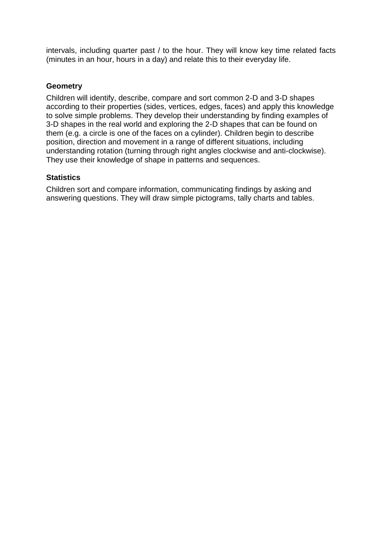intervals, including quarter past / to the hour. They will know key time related facts (minutes in an hour, hours in a day) and relate this to their everyday life.

#### **Geometry**

Children will identify, describe, compare and sort common 2-D and 3-D shapes according to their properties (sides, vertices, edges, faces) and apply this knowledge to solve simple problems. They develop their understanding by finding examples of 3-D shapes in the real world and exploring the 2-D shapes that can be found on them (e.g. a circle is one of the faces on a cylinder). Children begin to describe position, direction and movement in a range of different situations, including understanding rotation (turning through right angles clockwise and anti-clockwise). They use their knowledge of shape in patterns and sequences.

#### **Statistics**

Children sort and compare information, communicating findings by asking and answering questions. They will draw simple pictograms, tally charts and tables.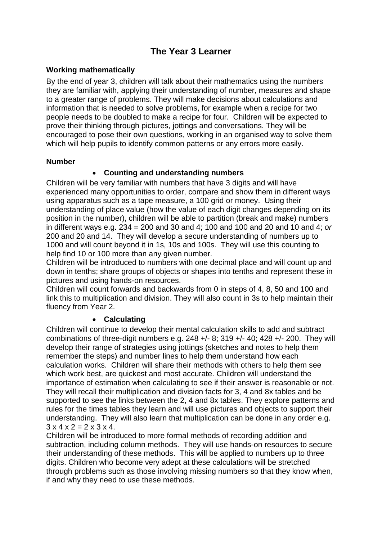## **The Year 3 Learner**

#### **Working mathematically**

By the end of year 3, children will talk about their mathematics using the numbers they are familiar with, applying their understanding of number, measures and shape to a greater range of problems. They will make decisions about calculations and information that is needed to solve problems, for example when a recipe for two people needs to be doubled to make a recipe for four. Children will be expected to prove their thinking through pictures, jottings and conversations. They will be encouraged to pose their own questions, working in an organised way to solve them which will help pupils to identify common patterns or any errors more easily.

#### **Number**

#### **Counting and understanding numbers**

Children will be very familiar with numbers that have 3 digits and will have experienced many opportunities to order, compare and show them in different ways using apparatus such as a tape measure, a 100 grid or money. Using their understanding of place value (how the value of each digit changes depending on its position in the number), children will be able to partition (break and make) numbers in different ways e.g. 234 = 200 and 30 and 4; 100 and 100 and 20 and 10 and 4; *or* 200 and 20 and 14. They will develop a secure understanding of numbers up to 1000 and will count beyond it in 1s, 10s and 100s. They will use this counting to help find 10 or 100 more than any given number.

Children will be introduced to numbers with one decimal place and will count up and down in tenths; share groups of objects or shapes into tenths and represent these in pictures and using hands-on resources.

Children will count forwards and backwards from 0 in steps of 4, 8, 50 and 100 and link this to multiplication and division. They will also count in 3s to help maintain their fluency from Year 2.

#### **Calculating**

Children will continue to develop their mental calculation skills to add and subtract combinations of three-digit numbers e.g.  $248 + (-8)$ ;  $319 + (-40)$ ;  $428 + (-200)$ . They will develop their range of strategies using jottings (sketches and notes to help them remember the steps) and number lines to help them understand how each calculation works. Children will share their methods with others to help them see which work best, are quickest and most accurate. Children will understand the importance of estimation when calculating to see if their answer is reasonable or not. They will recall their multiplication and division facts for 3, 4 and 8x tables and be supported to see the links between the 2, 4 and 8x tables. They explore patterns and rules for the times tables they learn and will use pictures and objects to support their understanding. They will also learn that multiplication can be done in any order e.g.  $3 \times 4 \times 2 = 2 \times 3 \times 4$ 

Children will be introduced to more formal methods of recording addition and subtraction, including column methods. They will use hands-on resources to secure their understanding of these methods. This will be applied to numbers up to three digits. Children who become very adept at these calculations will be stretched through problems such as those involving missing numbers so that they know when, if and why they need to use these methods.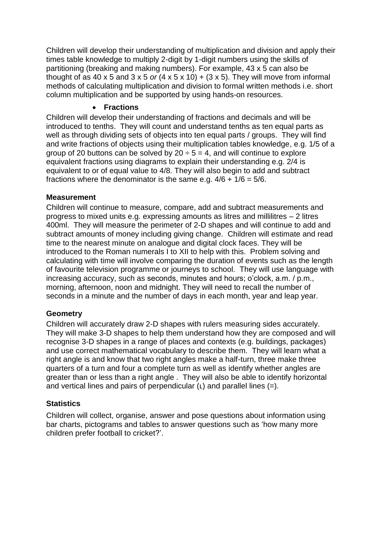Children will develop their understanding of multiplication and division and apply their times table knowledge to multiply 2-digit by 1-digit numbers using the skills of partitioning (breaking and making numbers). For example, 43 x 5 can also be thought of as  $40 \times 5$  and  $3 \times 5$  *or*  $(4 \times 5 \times 10) + (3 \times 5)$ . They will move from informal methods of calculating multiplication and division to formal written methods i.e. short column multiplication and be supported by using hands-on resources.

#### **Fractions**

Children will develop their understanding of fractions and decimals and will be introduced to tenths. They will count and understand tenths as ten equal parts as well as through dividing sets of objects into ten equal parts / groups. They will find and write fractions of objects using their multiplication tables knowledge, e.g. 1/5 of a group of 20 buttons can be solved by  $20 \div 5 = 4$ , and will continue to explore equivalent fractions using diagrams to explain their understanding e.g. 2/4 is equivalent to or of equal value to 4/8. They will also begin to add and subtract fractions where the denominator is the same e.g.  $4/6 + 1/6 = 5/6$ .

#### **Measurement**

Children will continue to measure, compare, add and subtract measurements and progress to mixed units e.g. expressing amounts as litres and millilitres – 2 litres 400ml. They will measure the perimeter of 2-D shapes and will continue to add and subtract amounts of money including giving change. Children will estimate and read time to the nearest minute on analogue and digital clock faces. They will be introduced to the Roman numerals I to XII to help with this. Problem solving and calculating with time will involve comparing the duration of events such as the length of favourite television programme or journeys to school. They will use language with increasing accuracy, such as seconds, minutes and hours; o'clock, a.m. / p.m., morning, afternoon, noon and midnight. They will need to recall the number of seconds in a minute and the number of days in each month, year and leap year.

#### **Geometry**

Children will accurately draw 2-D shapes with rulers measuring sides accurately. They will make 3-D shapes to help them understand how they are composed and will recognise 3-D shapes in a range of places and contexts (e.g. buildings, packages) and use correct mathematical vocabulary to describe them. They will learn what a right angle is and know that two right angles make a half-turn, three make three quarters of a turn and four a complete turn as well as identify whether angles are greater than or less than a right angle . They will also be able to identify horizontal and vertical lines and pairs of perpendicular  $(L)$  and parallel lines  $(=)$ .

#### **Statistics**

Children will collect, organise, answer and pose questions about information using bar charts, pictograms and tables to answer questions such as 'how many more children prefer football to cricket?'.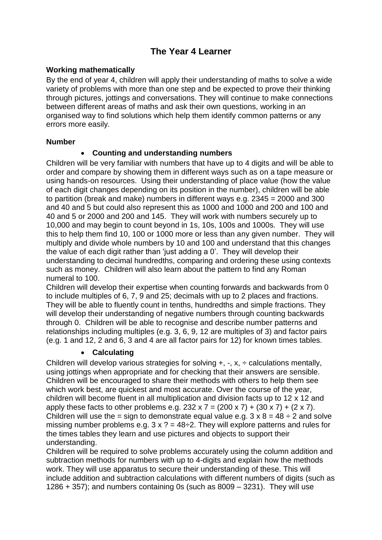## **The Year 4 Learner**

#### **Working mathematically**

By the end of year 4, children will apply their understanding of maths to solve a wide variety of problems with more than one step and be expected to prove their thinking through pictures, jottings and conversations. They will continue to make connections between different areas of maths and ask their own questions, working in an organised way to find solutions which help them identify common patterns or any errors more easily.

#### **Number**

#### **Counting and understanding numbers**

Children will be very familiar with numbers that have up to 4 digits and will be able to order and compare by showing them in different ways such as on a tape measure or using hands-on resources. Using their understanding of place value (how the value of each digit changes depending on its position in the number), children will be able to partition (break and make) numbers in different ways e.g. 2345 = 2000 and 300 and 40 and 5 but could also represent this as 1000 and 1000 and 200 and 100 and 40 and 5 or 2000 and 200 and 145. They will work with numbers securely up to 10,000 and may begin to count beyond in 1s, 10s, 100s and 1000s. They will use this to help them find 10, 100 or 1000 more or less than any given number. They will multiply and divide whole numbers by 10 and 100 and understand that this changes the value of each digit rather than 'just adding a 0'. They will develop their understanding to decimal hundredths, comparing and ordering these using contexts such as money. Children will also learn about the pattern to find any Roman numeral to 100.

Children will develop their expertise when counting forwards and backwards from 0 to include multiples of 6, 7, 9 and 25; decimals with up to 2 places and fractions. They will be able to fluently count in tenths, hundredths and simple fractions. They will develop their understanding of negative numbers through counting backwards through 0. Children will be able to recognise and describe number patterns and relationships including multiples (e.g. 3, 6, 9, 12 are multiples of 3) and factor pairs (e.g. 1 and 12, 2 and 6, 3 and 4 are all factor pairs for 12) for known times tables.

#### **Calculating**

Children will develop various strategies for solving  $+$ ,  $-$ ,  $x$ ,  $\div$  calculations mentally, using jottings when appropriate and for checking that their answers are sensible. Children will be encouraged to share their methods with others to help them see which work best, are quickest and most accurate. Over the course of the year, children will become fluent in all multiplication and division facts up to 12 x 12 and apply these facts to other problems e.g.  $232 \times 7 = (200 \times 7) + (30 \times 7) + (2 \times 7)$ . Children will use the = sign to demonstrate equal value e.g.  $3 \times 8 = 48 \div 2$  and solve missing number problems e.g.  $3 \times ? = 48 \div 2$ . They will explore patterns and rules for the times tables they learn and use pictures and objects to support their understanding.

Children will be required to solve problems accurately using the column addition and subtraction methods for numbers with up to 4-digits and explain how the methods work. They will use apparatus to secure their understanding of these. This will include addition and subtraction calculations with different numbers of digits (such as 1286  $+$  357); and numbers containing 0s (such as 8009  $-$  3231). They will use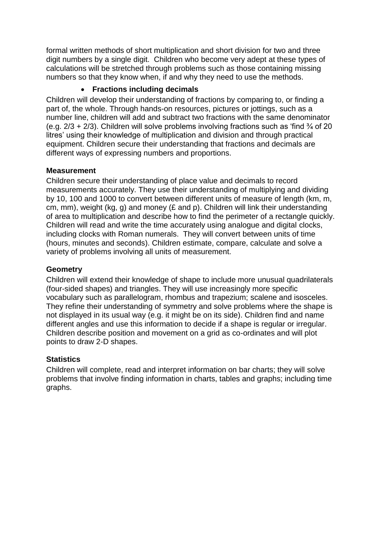formal written methods of short multiplication and short division for two and three digit numbers by a single digit. Children who become very adept at these types of calculations will be stretched through problems such as those containing missing numbers so that they know when, if and why they need to use the methods.

#### **Fractions including decimals**

Children will develop their understanding of fractions by comparing to, or finding a part of, the whole. Through hands-on resources, pictures or jottings, such as a number line, children will add and subtract two fractions with the same denominator (e.g.  $2/3 + 2/3$ ). Children will solve problems involving fractions such as 'find  $\frac{3}{4}$  of 20 litres' using their knowledge of multiplication and division and through practical equipment. Children secure their understanding that fractions and decimals are different ways of expressing numbers and proportions.

#### **Measurement**

Children secure their understanding of place value and decimals to record measurements accurately. They use their understanding of multiplying and dividing by 10, 100 and 1000 to convert between different units of measure of length (km, m, cm, mm), weight (kg, g) and money (£ and p). Children will link their understanding of area to multiplication and describe how to find the perimeter of a rectangle quickly. Children will read and write the time accurately using analogue and digital clocks, including clocks with Roman numerals. They will convert between units of time (hours, minutes and seconds). Children estimate, compare, calculate and solve a variety of problems involving all units of measurement.

#### **Geometry**

Children will extend their knowledge of shape to include more unusual quadrilaterals (four-sided shapes) and triangles. They will use increasingly more specific vocabulary such as parallelogram, rhombus and trapezium; scalene and isosceles. They refine their understanding of symmetry and solve problems where the shape is not displayed in its usual way (e.g. it might be on its side). Children find and name different angles and use this information to decide if a shape is regular or irregular. Children describe position and movement on a grid as co-ordinates and will plot points to draw 2-D shapes.

## **Statistics**

Children will complete, read and interpret information on bar charts; they will solve problems that involve finding information in charts, tables and graphs; including time graphs.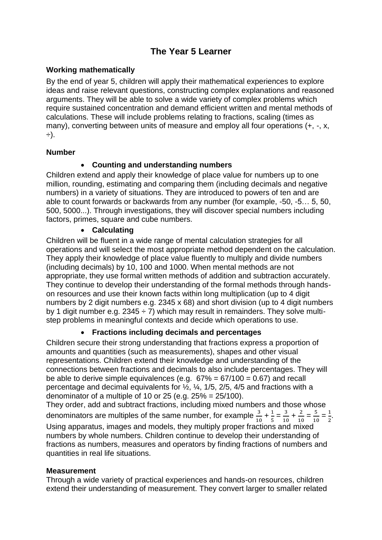## **The Year 5 Learner**

#### **Working mathematically**

By the end of year 5, children will apply their mathematical experiences to explore ideas and raise relevant questions, constructing complex explanations and reasoned arguments. They will be able to solve a wide variety of complex problems which require sustained concentration and demand efficient written and mental methods of calculations. These will include problems relating to fractions, scaling (times as many), converting between units of measure and employ all four operations (+, -, x, ÷).

#### **Number**

#### **Counting and understanding numbers**

Children extend and apply their knowledge of place value for numbers up to one million, rounding, estimating and comparing them (including decimals and negative numbers) in a variety of situations. They are introduced to powers of ten and are able to count forwards or backwards from any number (for example, -50, -5… 5, 50, 500, 5000...). Through investigations, they will discover special numbers including factors, primes, square and cube numbers.

#### **Calculating**

Children will be fluent in a wide range of mental calculation strategies for all operations and will select the most appropriate method dependent on the calculation. They apply their knowledge of place value fluently to multiply and divide numbers (including decimals) by 10, 100 and 1000. When mental methods are not appropriate, they use formal written methods of addition and subtraction accurately. They continue to develop their understanding of the formal methods through handson resources and use their known facts within long multiplication (up to 4 digit numbers by 2 digit numbers e.g. 2345 x 68) and short division (up to 4 digit numbers by 1 digit number e.g.  $2345 \div 7$ ) which may result in remainders. They solve multistep problems in meaningful contexts and decide which operations to use.

#### **Fractions including decimals and percentages**

Children secure their strong understanding that fractions express a proportion of amounts and quantities (such as measurements), shapes and other visual representations. Children extend their knowledge and understanding of the connections between fractions and decimals to also include percentages. They will be able to derive simple equivalences (e.g.  $67\% = 67/100 = 0.67$ ) and recall percentage and decimal equivalents for ½, ¼, 1/5, 2/5, 4/5 and fractions with a denominator of a multiple of 10 or 25 (e.g.  $25\% = 25/100$ ).

They order, add and subtract fractions, including mixed numbers and those whose denominators are multiples of the same number, for example  $\frac{3}{10}$  +  $\frac{1}{5}$  $\frac{1}{5} = \frac{3}{10}$  $\frac{3}{10} + \frac{2}{10}$  $\frac{2}{10} = \frac{5}{10}$  $\frac{5}{10} = \frac{1}{2}$  $\frac{1}{2}$ . Using apparatus, images and models, they multiply proper fractions and mixed numbers by whole numbers. Children continue to develop their understanding of fractions as numbers, measures and operators by finding fractions of numbers and quantities in real life situations.

#### **Measurement**

Through a wide variety of practical experiences and hands-on resources, children extend their understanding of measurement. They convert larger to smaller related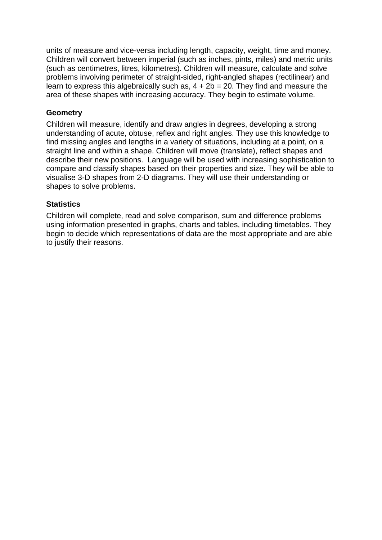units of measure and vice-versa including length, capacity, weight, time and money. Children will convert between imperial (such as inches, pints, miles) and metric units (such as centimetres, litres, kilometres). Children will measure, calculate and solve problems involving perimeter of straight-sided, right-angled shapes (rectilinear) and learn to express this algebraically such as,  $4 + 2b = 20$ . They find and measure the area of these shapes with increasing accuracy. They begin to estimate volume.

#### **Geometry**

Children will measure, identify and draw angles in degrees, developing a strong understanding of acute, obtuse, reflex and right angles. They use this knowledge to find missing angles and lengths in a variety of situations, including at a point, on a straight line and within a shape. Children will move (translate), reflect shapes and describe their new positions. Language will be used with increasing sophistication to compare and classify shapes based on their properties and size. They will be able to visualise 3-D shapes from 2-D diagrams. They will use their understanding or shapes to solve problems.

#### **Statistics**

Children will complete, read and solve comparison, sum and difference problems using information presented in graphs, charts and tables, including timetables. They begin to decide which representations of data are the most appropriate and are able to justify their reasons.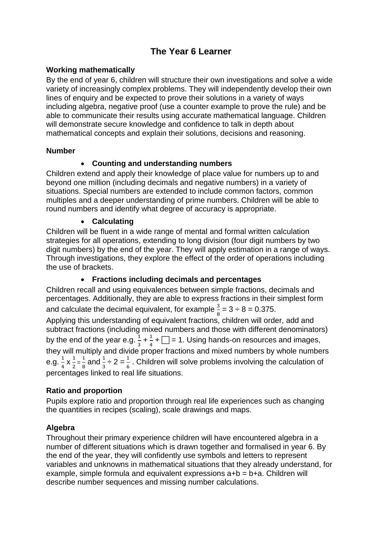## **The Year 6 Learner**

#### **Working mathematically**

By the end of year 6, children will structure their own investigations and solve a wide variety of increasingly complex problems. They will independently develop their own lines of enquiry and be expected to prove their solutions in a variety of ways including algebra, negative proof (use a counter example to prove the rule) and be able to communicate their results using accurate mathematical language. Children will demonstrate secure knowledge and confidence to talk in depth about mathematical concepts and explain their solutions, decisions and reasoning.

#### **Number**

#### **Counting and understanding numbers**

Children extend and apply their knowledge of place value for numbers up to and beyond one million (including decimals and negative numbers) in a variety of situations. Special numbers are extended to include common factors, common multiples and a deeper understanding of prime numbers. Children will be able to round numbers and identify what degree of accuracy is appropriate.

#### **Calculating**

Children will be fluent in a wide range of mental and formal written calculation strategies for all operations, extending to long division (four digit numbers by two digit numbers) by the end of the year. They will apply estimation in a range of ways. Through investigations, they explore the effect of the order of operations including the use of brackets.

#### **Fractions including decimals and percentages**

Children recall and using equivalences between simple fractions, decimals and percentages. Additionally, they are able to express fractions in their simplest form and calculate the decimal equivalent, for example  $\frac{3}{8}$  = 3  $\div$  8 = 0.375. Applying this understanding of equivalent fractions, children will order, add and subtract fractions (including mixed numbers and those with different denominators) by the end of the year e.g.  $\frac{1}{3}$  +  $\frac{1}{4}$  $\frac{1}{4}$  +  $\Box$  = 1. Using hands-on resources and images, they will multiply and divide proper fractions and mixed numbers by whole numbers e.g.  $\frac{1}{4}$  $\frac{1}{4}$  X  $\frac{1}{2}$  $\frac{1}{2} = \frac{1}{8}$  $\frac{1}{8}$  and  $\frac{1}{3}$   $\div$  2 =  $\frac{1}{6}$ . Children will solve problems involving the calculation of percentages linked to real life situations.

#### **Ratio and proportion**

Pupils explore ratio and proportion through real life experiences such as changing the quantities in recipes (scaling), scale drawings and maps.

#### **Algebra**

Throughout their primary experience children will have encountered algebra in a number of different situations which is drawn together and formalised in year 6. By the end of the year, they will confidently use symbols and letters to represent variables and unknowns in mathematical situations that they already understand, for example, simple formula and equivalent expressions a+b = b+a. Children will describe number sequences and missing number calculations.